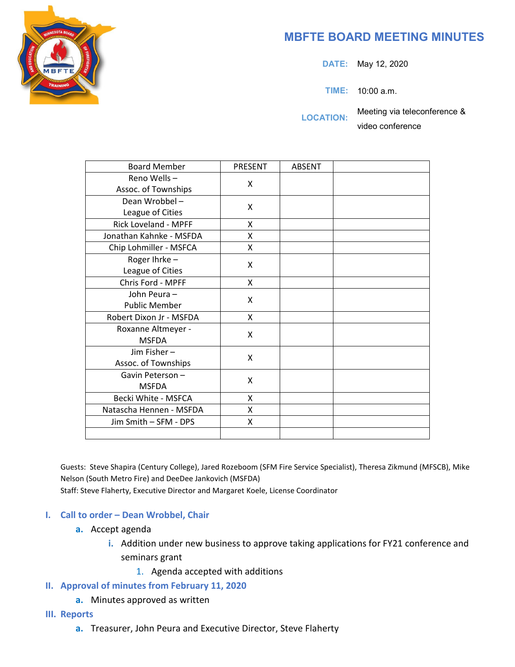

# **MBFTE BOARD MEETING MINUTES**

**DATE:** May 12, 2020

**TIME:** 10:00 a.m.

**LOCATION:** Meeting via teleconference & video conference

| <b>Board Member</b>     | <b>PRESENT</b> | <b>ABSENT</b> |  |
|-------------------------|----------------|---------------|--|
| Reno Wells-             | X              |               |  |
| Assoc. of Townships     |                |               |  |
| Dean Wrobbel-           | X              |               |  |
| League of Cities        |                |               |  |
| Rick Loveland - MPFF    | X              |               |  |
| Jonathan Kahnke - MSFDA | X              |               |  |
| Chip Lohmiller - MSFCA  | X              |               |  |
| Roger Ihrke-            | X              |               |  |
| League of Cities        |                |               |  |
| Chris Ford - MPFF       | X              |               |  |
| John Peura-             | X              |               |  |
| <b>Public Member</b>    |                |               |  |
| Robert Dixon Jr - MSFDA | X              |               |  |
| Roxanne Altmeyer -      | X              |               |  |
| <b>MSFDA</b>            |                |               |  |
| Jim Fisher-             | X              |               |  |
| Assoc. of Townships     |                |               |  |
| Gavin Peterson-         | X              |               |  |
| <b>MSFDA</b>            |                |               |  |
| Becki White - MSFCA     | X              |               |  |
| Natascha Hennen - MSFDA | Χ              |               |  |
| Jim Smith - SFM - DPS   | X              |               |  |
|                         |                |               |  |

Guests: Steve Shapira (Century College), Jared Rozeboom (SFM Fire Service Specialist), Theresa Zikmund (MFSCB), Mike Nelson (South Metro Fire) and DeeDee Jankovich (MSFDA) Staff: Steve Flaherty, Executive Director and Margaret Koele, License Coordinator

#### **I. Call to order – Dean Wrobbel, Chair**

- **a.** Accept agenda
	- **i.** Addition under new business to approve taking applications for FY21 conference and seminars grant
		- 1. Agenda accepted with additions

#### **II. Approval of minutes from February 11, 2020**

- **a.** Minutes approved as written
- **III. Reports**
	- **a.** Treasurer, John Peura and Executive Director, Steve Flaherty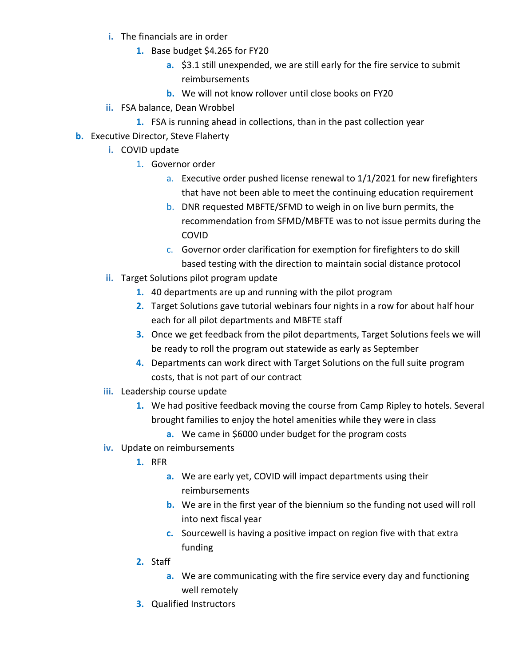- **i.** The financials are in order
	- **1.** Base budget \$4.265 for FY20
		- **a.** \$3.1 still unexpended, we are still early for the fire service to submit reimbursements
		- **b.** We will not know rollover until close books on FY20
- **ii.** FSA balance, Dean Wrobbel
	- **1.** FSA is running ahead in collections, than in the past collection year
- **b.** Executive Director, Steve Flaherty
	- **i.** COVID update
		- 1. Governor order
			- a. Executive order pushed license renewal to  $1/1/2021$  for new firefighters that have not been able to meet the continuing education requirement
			- b. DNR requested MBFTE/SFMD to weigh in on live burn permits, the recommendation from SFMD/MBFTE was to not issue permits during the COVID
			- c. Governor order clarification for exemption for firefighters to do skill based testing with the direction to maintain social distance protocol
	- **ii.** Target Solutions pilot program update
		- **1.** 40 departments are up and running with the pilot program
		- **2.** Target Solutions gave tutorial webinars four nights in a row for about half hour each for all pilot departments and MBFTE staff
		- **3.** Once we get feedback from the pilot departments, Target Solutions feels we will be ready to roll the program out statewide as early as September
		- **4.** Departments can work direct with Target Solutions on the full suite program costs, that is not part of our contract
	- **iii.** Leadership course update
		- **1.** We had positive feedback moving the course from Camp Ripley to hotels. Several brought families to enjoy the hotel amenities while they were in class
			- **a.** We came in \$6000 under budget for the program costs
	- **iv.** Update on reimbursements
		- **1.** RFR
			- **a.** We are early yet, COVID will impact departments using their reimbursements
			- **b.** We are in the first year of the biennium so the funding not used will roll into next fiscal year
			- **c.** Sourcewell is having a positive impact on region five with that extra funding
		- **2.** Staff
			- **a.** We are communicating with the fire service every day and functioning well remotely
		- **3.** Qualified Instructors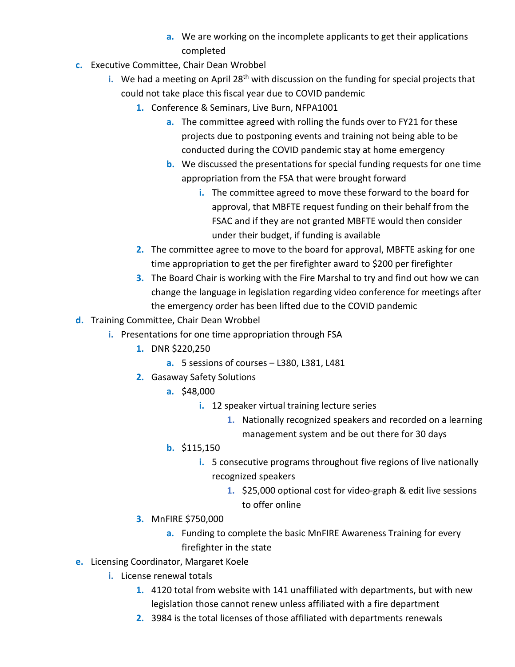- **a.** We are working on the incomplete applicants to get their applications completed
- **c.** Executive Committee, Chair Dean Wrobbel
	- **i.** We had a meeting on April 28<sup>th</sup> with discussion on the funding for special projects that could not take place this fiscal year due to COVID pandemic
		- **1.** Conference & Seminars, Live Burn, NFPA1001
			- **a.** The committee agreed with rolling the funds over to FY21 for these projects due to postponing events and training not being able to be conducted during the COVID pandemic stay at home emergency
			- **b.** We discussed the presentations for special funding requests for one time appropriation from the FSA that were brought forward
				- **i.** The committee agreed to move these forward to the board for approval, that MBFTE request funding on their behalf from the FSAC and if they are not granted MBFTE would then consider under their budget, if funding is available
		- **2.** The committee agree to move to the board for approval, MBFTE asking for one time appropriation to get the per firefighter award to \$200 per firefighter
		- **3.** The Board Chair is working with the Fire Marshal to try and find out how we can change the language in legislation regarding video conference for meetings after the emergency order has been lifted due to the COVID pandemic
- **d.** Training Committee, Chair Dean Wrobbel
	- **i.** Presentations for one time appropriation through FSA
		- **1.** DNR \$220,250
			- **a.** 5 sessions of courses L380, L381, L481
		- **2.** Gasaway Safety Solutions
			- **a.** \$48,000
				- **i.** 12 speaker virtual training lecture series
					- **1.** Nationally recognized speakers and recorded on a learning management system and be out there for 30 days
			- **b.** \$115,150
				- **i.** 5 consecutive programs throughout five regions of live nationally recognized speakers
					- **1.** \$25,000 optional cost for video-graph & edit live sessions to offer online
		- **3.** MnFIRE \$750,000
			- **a.** Funding to complete the basic MnFIRE Awareness Training for every firefighter in the state
- **e.** Licensing Coordinator, Margaret Koele
	- **i.** License renewal totals
		- **1.** 4120 total from website with 141 unaffiliated with departments, but with new legislation those cannot renew unless affiliated with a fire department
		- **2.** 3984 is the total licenses of those affiliated with departments renewals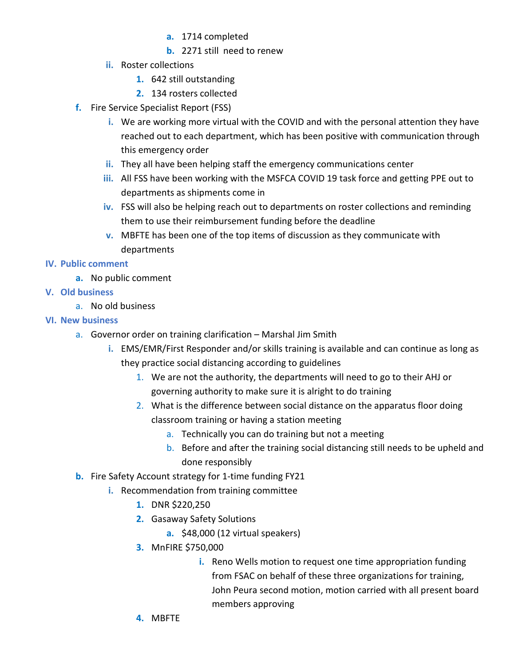- **a.** 1714 completed
- **b.** 2271 still need to renew
- **ii.** Roster collections
	- **1.** 642 still outstanding
	- **2.** 134 rosters collected
- **f.** Fire Service Specialist Report (FSS)
	- **i.** We are working more virtual with the COVID and with the personal attention they have reached out to each department, which has been positive with communication through this emergency order
	- **ii.** They all have been helping staff the emergency communications center
	- **iii.** All FSS have been working with the MSFCA COVID 19 task force and getting PPE out to departments as shipments come in
	- **iv.** FSS will also be helping reach out to departments on roster collections and reminding them to use their reimbursement funding before the deadline
	- **v.** MBFTE has been one of the top items of discussion as they communicate with departments

### **IV. Public comment**

- **a.** No public comment
- **V. Old business**
	- a. No old business
- **VI. New business**
	- a. Governor order on training clarification Marshal Jim Smith
		- **i.** EMS/EMR/First Responder and/or skills training is available and can continue as long as they practice social distancing according to guidelines
			- 1. We are not the authority, the departments will need to go to their AHJ or governing authority to make sure it is alright to do training
			- 2. What is the difference between social distance on the apparatus floor doing classroom training or having a station meeting
				- a. Technically you can do training but not a meeting
				- b. Before and after the training social distancing still needs to be upheld and done responsibly

# **b.** Fire Safety Account strategy for 1-time funding FY21

- **i.** Recommendation from training committee
	- **1.** DNR \$220,250
	- **2.** Gasaway Safety Solutions
		- **a.** \$48,000 (12 virtual speakers)
	- **3.** MnFIRE \$750,000
		- **i.** Reno Wells motion to request one time appropriation funding from FSAC on behalf of these three organizations for training, John Peura second motion, motion carried with all present board members approving
	- **4.** MBFTE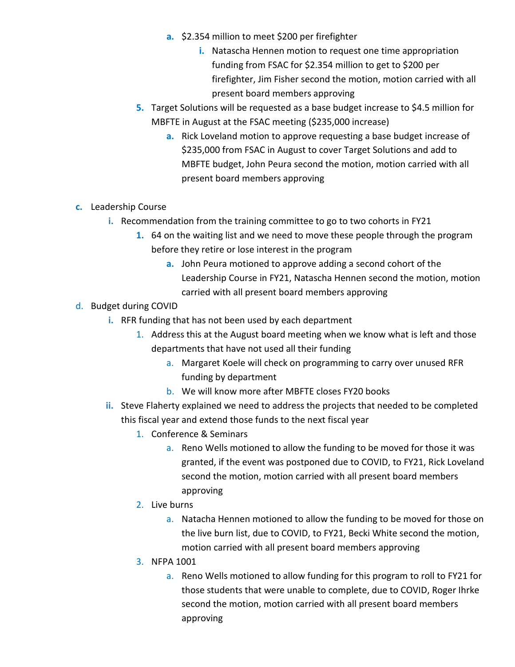- **a.** \$2.354 million to meet \$200 per firefighter
	- **i.** Natascha Hennen motion to request one time appropriation funding from FSAC for \$2.354 million to get to \$200 per firefighter, Jim Fisher second the motion, motion carried with all present board members approving
- **5.** Target Solutions will be requested as a base budget increase to \$4.5 million for MBFTE in August at the FSAC meeting (\$235,000 increase)
	- **a.** Rick Loveland motion to approve requesting a base budget increase of \$235,000 from FSAC in August to cover Target Solutions and add to MBFTE budget, John Peura second the motion, motion carried with all present board members approving
- **c.** Leadership Course
	- **i.** Recommendation from the training committee to go to two cohorts in FY21
		- **1.** 64 on the waiting list and we need to move these people through the program before they retire or lose interest in the program
			- **a.** John Peura motioned to approve adding a second cohort of the Leadership Course in FY21, Natascha Hennen second the motion, motion carried with all present board members approving
- d. Budget during COVID
	- **i.** RFR funding that has not been used by each department
		- 1. Address this at the August board meeting when we know what is left and those departments that have not used all their funding
			- a. Margaret Koele will check on programming to carry over unused RFR funding by department
			- b. We will know more after MBFTE closes FY20 books
	- **ii.** Steve Flaherty explained we need to address the projects that needed to be completed this fiscal year and extend those funds to the next fiscal year
		- 1. Conference & Seminars
			- a. Reno Wells motioned to allow the funding to be moved for those it was granted, if the event was postponed due to COVID, to FY21, Rick Loveland second the motion, motion carried with all present board members approving
		- 2. Live burns
			- a. Natacha Hennen motioned to allow the funding to be moved for those on the live burn list, due to COVID, to FY21, Becki White second the motion, motion carried with all present board members approving
		- 3. NFPA 1001
			- a. Reno Wells motioned to allow funding for this program to roll to FY21 for those students that were unable to complete, due to COVID, Roger Ihrke second the motion, motion carried with all present board members approving